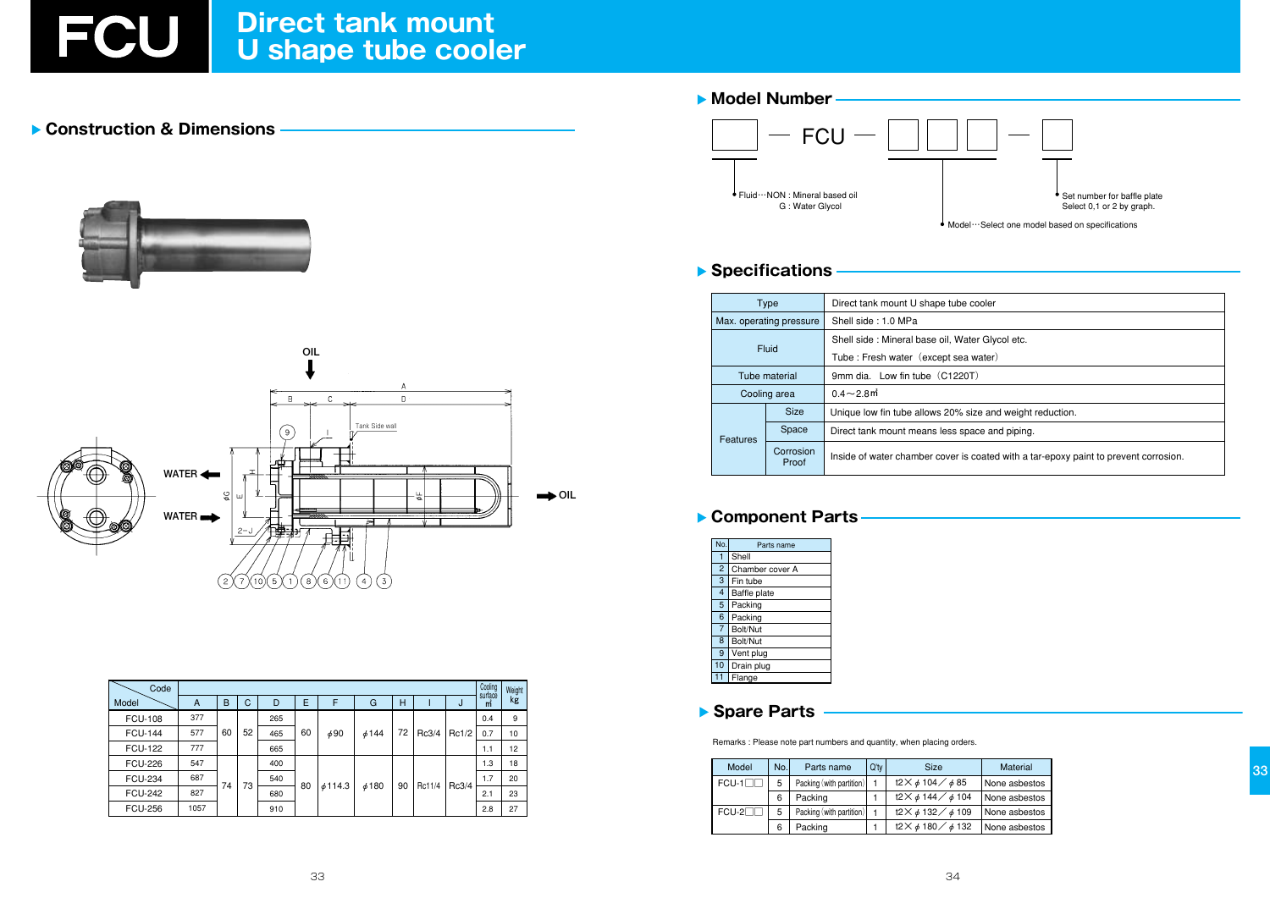### Construction & Dimensions





| Code           |      |    |    |     |    |              |            | Cooling | Weight |       |              |    |
|----------------|------|----|----|-----|----|--------------|------------|---------|--------|-------|--------------|----|
| Model          | A    | B  | C  | D   | Ε  | F            | G          | Н       |        | J     | surface<br>m | kg |
| <b>FCU-108</b> | 377  | 60 | 52 | 265 | 60 | $\phi$ 90    | $\phi$ 144 | 72      | Rc3/4  | Rc1/2 | 0.4          | 9  |
| <b>FCU-144</b> | 577  |    |    | 465 |    |              |            |         |        |       | 0.7          | 10 |
| <b>FCU-122</b> | 777  |    |    | 665 |    |              |            |         |        |       | 1.1          | 12 |
| <b>FCU-226</b> | 547  | 74 | 73 | 400 | 80 | $\phi$ 114.3 | 6480       | 90      | Rc11/4 | Rc3/4 | 1.3          | 18 |
| <b>FCU-234</b> | 687  |    |    | 540 |    |              |            |         |        |       | 1.7          | 20 |
| <b>FCU-242</b> | 827  |    |    | 680 |    |              |            |         |        |       | 2.1          | 23 |
| <b>FCU-256</b> | 1057 |    |    | 910 |    |              |            |         |        |       | 2.8          | 27 |

# Model Number **FCU**

Fluid ··· NON : Mineral based oil G: Water Glycol

#### ▶ Specifications

| Type |                    |                               | Direct tank mount U shape tub   |  |  |  |
|------|--------------------|-------------------------------|---------------------------------|--|--|--|
|      |                    | Max. operating pressure       | Shell side: 1.0 MPa             |  |  |  |
|      |                    |                               | Shell side: Mineral base oil, W |  |  |  |
|      |                    | Fluid                         | Tube: Fresh water (except se    |  |  |  |
|      |                    | Tube material                 | 9mm dia. Low fin tube (C122     |  |  |  |
|      |                    | Cooling area                  | $0.4\!\sim\!2.8$ m              |  |  |  |
|      | Features           | <b>Size</b>                   | Unique low fin tube allows 20%  |  |  |  |
|      |                    | Space                         | Direct tank mount means less s  |  |  |  |
|      | Corrosion<br>Proof | Inside of water chamber cover |                                 |  |  |  |

#### Component Parts

| No.            | Parts name          |  |  |  |  |  |  |
|----------------|---------------------|--|--|--|--|--|--|
|                | Shell               |  |  |  |  |  |  |
| $\overline{c}$ | Chamber cover A     |  |  |  |  |  |  |
| 3              | Fin tube            |  |  |  |  |  |  |
| $\overline{4}$ | <b>Baffle plate</b> |  |  |  |  |  |  |
| 5              | Packing             |  |  |  |  |  |  |
| 6              | Packing             |  |  |  |  |  |  |
| $\overline{7}$ | Bolt/Nut            |  |  |  |  |  |  |
| 8              | Bolt/Nut            |  |  |  |  |  |  |
| 9              | Vent plug           |  |  |  |  |  |  |
| 10             | Drain plug          |  |  |  |  |  |  |
|                | Flange              |  |  |  |  |  |  |

#### Spare Parts

Remarks : Please note part numbers and quantity, when placing orders.

| Model   | No.l | Parts name               | $Q'$ ty | <b>Size</b>                                 | <b>Material</b> |
|---------|------|--------------------------|---------|---------------------------------------------|-----------------|
| $FCU-1$ | 5    | Packing (with partition) |         | $t2 \times \phi 104 / \phi 85$              | None asbestos   |
|         |      | Packing                  |         | $t2 \times \phi 144 / \phi 104$             | None asbestos   |
| $FCU-2$ | 5    | Packing (with partition) |         | t2 $\times$ $\phi$ 132 $\diagup$ $\phi$ 109 | None asbestos   |
|         |      | Packing                  |         | t2 $\times$ $\phi$ 180 $\diagup$ $\phi$ 132 | None asbestos   |



Select 0,1 or 2 by graph.

Model ··· Select one model based on specifications

pe cooler

Vater Glycol etc.

ea water)

20T)

size and weight reduction.

space and piping.

is coated with a tar-epoxy paint to prevent corrosion.

33